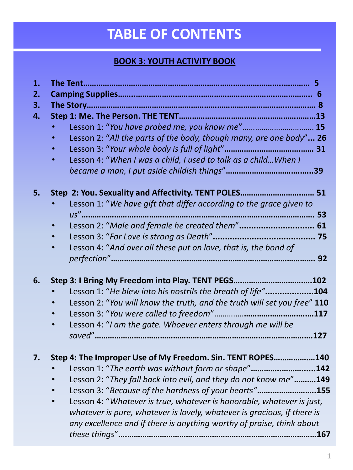## **TABLE OF CONTENTS**

## **BOOK 3: YOUTH ACTIVITY BOOK**

| 1. |                                                                              |
|----|------------------------------------------------------------------------------|
| 2. |                                                                              |
| 3. |                                                                              |
| 4. |                                                                              |
|    | Lesson 1: "You have probed me, you know me" 15                               |
|    | Lesson 2: "All the parts of the body, though many, are one body" 26          |
|    |                                                                              |
|    | Lesson 4: "When I was a child, I used to talk as a child When I<br>$\bullet$ |
|    |                                                                              |
| 5. | Step 2: You. Sexuality and Affectivity. TENT POLES 51                        |
|    | Lesson 1: "We have gift that differ according to the grace given to          |
|    |                                                                              |
|    | Lesson 2: "Male and female he created them" 61                               |
|    |                                                                              |
|    | Lesson 4: "And over all these put on love, that is, the bond of              |
|    |                                                                              |
| 6. | Step 3: I Bring My Freedom into Play. TENT PEGS102                           |
|    | Lesson 1: "He blew into his nostrils the breath of life"<br>.104             |
|    | Lesson 2: "You will know the truth, and the truth will set you free" 110     |
|    |                                                                              |
|    | Lesson 4: "I am the gate. Whoever enters through me will be                  |
|    |                                                                              |
| 7. | Step 4: The Improper Use of My Freedom. Sin. TENT ROPES140                   |
|    | Lesson 1: "The earth was without form or shape"142                           |
|    | Lesson 2: "They fall back into evil, and they do not know me"149             |
|    | Lesson 3: "Because of the hardness of your hearts"<br>.155                   |
|    | Lesson 4: "Whatever is true, whatever is honorable, whatever is just,        |
|    | whatever is pure, whatever is lovely, whatever is gracious, if there is      |
|    | any excellence and if there is anything worthy of praise, think about        |
|    | 167                                                                          |